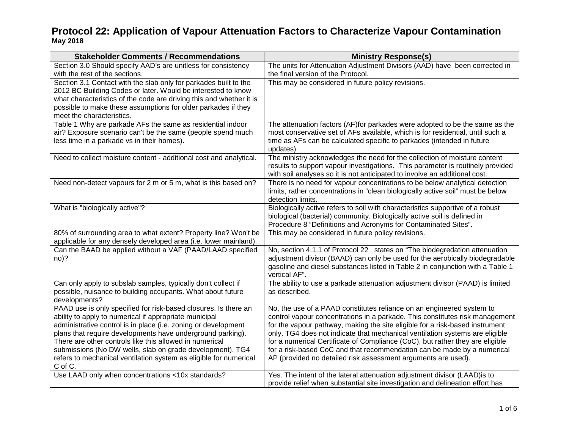| <b>Stakeholder Comments / Recommendations</b>                                           | <b>Ministry Response(s)</b>                                                                                                                |
|-----------------------------------------------------------------------------------------|--------------------------------------------------------------------------------------------------------------------------------------------|
| Section 3.0 Should specify AAD's are unitless for consistency                           | The units for Attenuation Adjustment Divisors (AAD) have been corrected in                                                                 |
| with the rest of the sections.                                                          | the final version of the Protocol.                                                                                                         |
| Section 3.1 Contact with the slab only for parkades built to the                        | This may be considered in future policy revisions.                                                                                         |
| 2012 BC Building Codes or later. Would be interested to know                            |                                                                                                                                            |
| what characteristics of the code are driving this and whether it is                     |                                                                                                                                            |
| possible to make these assumptions for older parkades if they                           |                                                                                                                                            |
| meet the characteristics.<br>Table 1 Why are parkade AFs the same as residential indoor | The attenuation factors (AF)for parkades were adopted to be the same as the                                                                |
| air? Exposure scenario can't be the same (people spend much                             | most conservative set of AFs available, which is for residential, until such a                                                             |
| less time in a parkade vs in their homes).                                              | time as AFs can be calculated specific to parkades (intended in future                                                                     |
|                                                                                         | updates).                                                                                                                                  |
| Need to collect moisture content - additional cost and analytical.                      | The ministry acknowledges the need for the collection of moisture content                                                                  |
|                                                                                         | results to support vapour investigations. This parameter is routinely provided                                                             |
|                                                                                         | with soil analyses so it is not anticipated to involve an additional cost.                                                                 |
| Need non-detect vapours for 2 m or 5 m, what is this based on?                          | There is no need for vapour concentrations to be below analytical detection                                                                |
|                                                                                         | limits, rather concentrations in "clean biologically active soil" must be below                                                            |
|                                                                                         | detection limits.                                                                                                                          |
| What is "biologically active"?                                                          | Biologically active refers to soil with characteristics supportive of a robust                                                             |
|                                                                                         | biological (bacterial) community. Biologically active soil is defined in<br>Procedure 8 "Definitions and Acronyms for Contaminated Sites". |
| 80% of surrounding area to what extent? Property line? Won't be                         | This may be considered in future policy revisions.                                                                                         |
| applicable for any densely developed area (i.e. lower mainland).                        |                                                                                                                                            |
| Can the BAAD be applied without a VAF (PAAD/LAAD specified                              | No, section 4.1.1 of Protocol 22 states on "The biodegredation attenuation                                                                 |
| $no$ ?                                                                                  | adjustment divisor (BAAD) can only be used for the aerobically biodegradable                                                               |
|                                                                                         | gasoline and diesel substances listed in Table 2 in conjunction with a Table 1                                                             |
|                                                                                         | vertical AF".                                                                                                                              |
| Can only apply to subslab samples, typically don't collect if                           | The ability to use a parkade attenuation adjustment divisor (PAAD) is limited                                                              |
| possible, nuisance to building occupants. What about future                             | as described.                                                                                                                              |
| developments?                                                                           |                                                                                                                                            |
| PAAD use is only specified for risk-based closures. Is there an                         | No, the use of a PAAD constitutes reliance on an engineered system to                                                                      |
| ability to apply to numerical if appropriate municipal                                  | control vapour concentrations in a parkade. This constitutes risk management                                                               |
| administrative control is in place (i.e. zoning or development                          | for the vapour pathway, making the site eligible for a risk-based instrument                                                               |
| plans that require developments have underground parking).                              | only. TG4 does not indicate that mechanical ventilation systems are eligible                                                               |
| There are other controls like this allowed in numerical                                 | for a numerical Certificate of Compliance (CoC), but rather they are eligible                                                              |
| submissions (No DW wells, slab on grade development). TG4                               | for a risk-based CoC and that recommendation can be made by a numerical                                                                    |
| refers to mechanical ventilation system as eligible for numerical<br>C of C.            | AP (provided no detailed risk assessment arguments are used).                                                                              |
| Use LAAD only when concentrations <10x standards?                                       | Yes. The intent of the lateral attenuation adjustment divisor (LAAD) is to                                                                 |
|                                                                                         | provide relief when substantial site investigation and delineation effort has                                                              |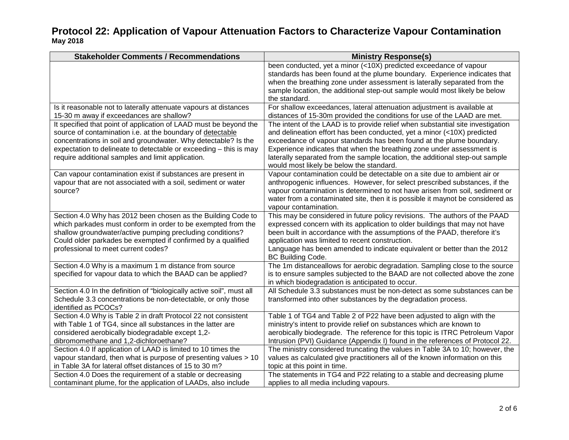| <b>Stakeholder Comments / Recommendations</b>                         | <b>Ministry Response(s)</b>                                                     |
|-----------------------------------------------------------------------|---------------------------------------------------------------------------------|
|                                                                       | been conducted, yet a minor (<10X) predicted exceedance of vapour               |
|                                                                       | standards has been found at the plume boundary. Experience indicates that       |
|                                                                       | when the breathing zone under assessment is laterally separated from the        |
|                                                                       | sample location, the additional step-out sample would most likely be below      |
|                                                                       | the standard.                                                                   |
| Is it reasonable not to laterally attenuate vapours at distances      | For shallow exceedances, lateral attenuation adjustment is available at         |
| 15-30 m away if exceedances are shallow?                              | distances of 15-30m provided the conditions for use of the LAAD are met.        |
| It specified that point of application of LAAD must be beyond the     | The intent of the LAAD is to provide relief when substantial site investigation |
| source of contamination i.e. at the boundary of detectable            | and delineation effort has been conducted, yet a minor (<10X) predicted         |
| concentrations in soil and groundwater. Why detectable? Is the        | exceedance of vapour standards has been found at the plume boundary.            |
| expectation to delineate to detectable or exceeding - this is may     | Experience indicates that when the breathing zone under assessment is           |
| require additional samples and limit application.                     | laterally separated from the sample location, the additional step-out sample    |
|                                                                       | would most likely be below the standard.                                        |
| Can vapour contamination exist if substances are present in           | Vapour contamination could be detectable on a site due to ambient air or        |
| vapour that are not associated with a soil, sediment or water         | anthropogenic influences. However, for select prescribed substances, if the     |
| source?                                                               | vapour contamination is determined to not have arisen from soil, sediment or    |
|                                                                       | water from a contaminated site, then it is possible it maynot be considered as  |
|                                                                       | vapour contamination.                                                           |
| Section 4.0 Why has 2012 been chosen as the Building Code to          | This may be considered in future policy revisions. The authors of the PAAD      |
| which parkades must conform in order to be exempted from the          | expressed concern with its application to older buildings that may not have     |
| shallow groundwater/active pumping precluding conditions?             | been built in accordance with the assumptions of the PAAD, therefore it's       |
| Could older parkades be exempted if confirmed by a qualified          | application was limited to recent construction.                                 |
| professional to meet current codes?                                   | Language has been amended to indicate equivalent or better than the 2012        |
|                                                                       | <b>BC Building Code.</b>                                                        |
| Section 4.0 Why is a maximum 1 m distance from source                 | The 1m distanceallows for aerobic degradation. Sampling close to the source     |
| specified for vapour data to which the BAAD can be applied?           | is to ensure samples subjected to the BAAD are not collected above the zone     |
|                                                                       | in which biodegradation is anticipated to occur.                                |
| Section 4.0 In the definition of "biologically active soil", must all | All Schedule 3.3 substances must be non-detect as some substances can be        |
| Schedule 3.3 concentrations be non-detectable, or only those          | transformed into other substances by the degradation process.                   |
| identified as PCOCs?                                                  |                                                                                 |
| Section 4.0 Why is Table 2 in draft Protocol 22 not consistent        | Table 1 of TG4 and Table 2 of P22 have been adjusted to align with the          |
| with Table 1 of TG4, since all substances in the latter are           | ministry's intent to provide relief on substances which are known to            |
| considered aerobically biodegradable except 1,2-                      | aerobically biodegrade. The reference for this topic is ITRC Petroleum Vapor    |
| dibromomethane and 1,2-dichloroethane?                                | Intrusion (PVI) Guidance (Appendix I) found in the references of Protocol 22.   |
| Section 4.0 If application of LAAD is limited to 10 times the         | The ministry considered truncating the values in Table 3A to 10; however, the   |
| vapour standard, then what is purpose of presenting values > 10       | values as calculated give practitioners all of the known information on this    |
| in Table 3A for lateral offset distances of 15 to 30 m?               | topic at this point in time.                                                    |
| Section 4.0 Does the requirement of a stable or decreasing            | The statements in TG4 and P22 relating to a stable and decreasing plume         |
| contaminant plume, for the application of LAADs, also include         | applies to all media including vapours.                                         |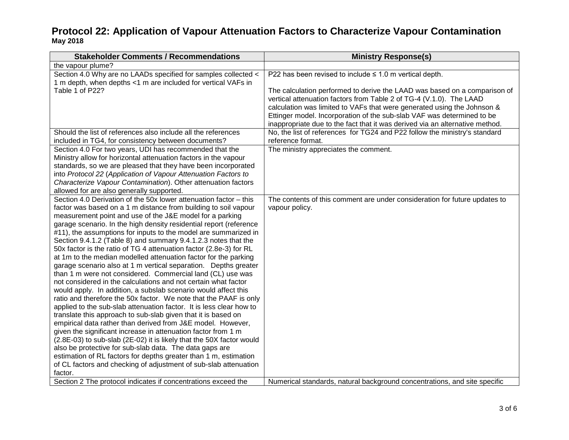| <b>Stakeholder Comments / Recommendations</b>                        | <b>Ministry Response(s)</b>                                                  |
|----------------------------------------------------------------------|------------------------------------------------------------------------------|
| the vapour plume?                                                    |                                                                              |
| Section 4.0 Why are no LAADs specified for samples collected <       | P22 has been revised to include $\leq$ 1.0 m vertical depth.                 |
| 1 m depth, when depths <1 m are included for vertical VAFs in        |                                                                              |
| Table 1 of P22?                                                      | The calculation performed to derive the LAAD was based on a comparison of    |
|                                                                      | vertical attenuation factors from Table 2 of TG-4 (V.1.0). The LAAD          |
|                                                                      | calculation was limited to VAFs that were generated using the Johnson &      |
|                                                                      | Ettinger model. Incorporation of the sub-slab VAF was determined to be       |
|                                                                      | inappropriate due to the fact that it was derived via an alternative method. |
| Should the list of references also include all the references        | No, the list of references for TG24 and P22 follow the ministry's standard   |
| included in TG4, for consistency between documents?                  | reference format.                                                            |
| Section 4.0 For two years, UDI has recommended that the              | The ministry appreciates the comment.                                        |
| Ministry allow for horizontal attenuation factors in the vapour      |                                                                              |
| standards, so we are pleased that they have been incorporated        |                                                                              |
| into Protocol 22 (Application of Vapour Attenuation Factors to       |                                                                              |
| Characterize Vapour Contamination). Other attenuation factors        |                                                                              |
| allowed for are also generally supported.                            |                                                                              |
| Section 4.0 Derivation of the 50x lower attenuation factor - this    | The contents of this comment are under consideration for future updates to   |
| factor was based on a 1 m distance from building to soil vapour      | vapour policy.                                                               |
| measurement point and use of the J&E model for a parking             |                                                                              |
| garage scenario. In the high density residential report (reference   |                                                                              |
| #11), the assumptions for inputs to the model are summarized in      |                                                                              |
| Section 9.4.1.2 (Table 8) and summary 9.4.1.2.3 notes that the       |                                                                              |
| 50x factor is the ratio of TG 4 attenuation factor (2.8e-3) for RL   |                                                                              |
| at 1m to the median modelled attenuation factor for the parking      |                                                                              |
| garage scenario also at 1 m vertical separation. Depths greater      |                                                                              |
| than 1 m were not considered. Commercial land (CL) use was           |                                                                              |
| not considered in the calculations and not certain what factor       |                                                                              |
| would apply. In addition, a subslab scenario would affect this       |                                                                              |
| ratio and therefore the 50x factor. We note that the PAAF is only    |                                                                              |
| applied to the sub-slab attenuation factor. It is less clear how to  |                                                                              |
| translate this approach to sub-slab given that it is based on        |                                                                              |
| empirical data rather than derived from J&E model. However,          |                                                                              |
| given the significant increase in attenuation factor from 1 m        |                                                                              |
| (2.8E-03) to sub-slab (2E-02) it is likely that the 50X factor would |                                                                              |
| also be protective for sub-slab data. The data gaps are              |                                                                              |
| estimation of RL factors for depths greater than 1 m, estimation     |                                                                              |
| of CL factors and checking of adjustment of sub-slab attenuation     |                                                                              |
| factor.                                                              |                                                                              |
| Section 2 The protocol indicates if concentrations exceed the        | Numerical standards, natural background concentrations, and site specific    |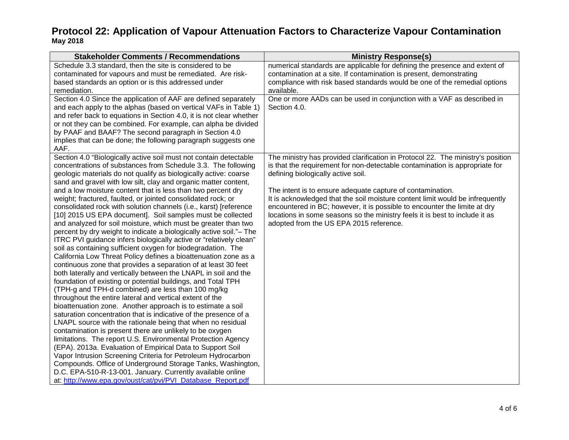| <b>Stakeholder Comments / Recommendations</b>                                                                                                                                                                                                                                                                                                                                                                                                                                                                                                                                                                                                                                                                                                                                                                                                                                                                                                                                                                                                                                                                                                                                                                                                                                                                                                                                                           | <b>Ministry Response(s)</b>                                                                                                                                                                                                                                                                                                                        |
|---------------------------------------------------------------------------------------------------------------------------------------------------------------------------------------------------------------------------------------------------------------------------------------------------------------------------------------------------------------------------------------------------------------------------------------------------------------------------------------------------------------------------------------------------------------------------------------------------------------------------------------------------------------------------------------------------------------------------------------------------------------------------------------------------------------------------------------------------------------------------------------------------------------------------------------------------------------------------------------------------------------------------------------------------------------------------------------------------------------------------------------------------------------------------------------------------------------------------------------------------------------------------------------------------------------------------------------------------------------------------------------------------------|----------------------------------------------------------------------------------------------------------------------------------------------------------------------------------------------------------------------------------------------------------------------------------------------------------------------------------------------------|
| Schedule 3.3 standard, then the site is considered to be<br>contaminated for vapours and must be remediated. Are risk-<br>based standards an option or is this addressed under<br>remediation.                                                                                                                                                                                                                                                                                                                                                                                                                                                                                                                                                                                                                                                                                                                                                                                                                                                                                                                                                                                                                                                                                                                                                                                                          | numerical standards are applicable for defining the presence and extent of<br>contamination at a site. If contamination is present, demonstrating<br>compliance with risk based standards would be one of the remedial options<br>available.                                                                                                       |
| Section 4.0 Since the application of AAF are defined separately<br>and each apply to the alphas (based on vertical VAFs in Table 1)<br>and refer back to equations in Section 4.0, it is not clear whether<br>or not they can be combined. For example, can alpha be divided<br>by PAAF and BAAF? The second paragraph in Section 4.0<br>implies that can be done; the following paragraph suggests one<br>AAF.                                                                                                                                                                                                                                                                                                                                                                                                                                                                                                                                                                                                                                                                                                                                                                                                                                                                                                                                                                                         | One or more AADs can be used in conjunction with a VAF as described in<br>Section 4.0.                                                                                                                                                                                                                                                             |
| Section 4.0 "Biologically active soil must not contain detectable<br>concentrations of substances from Schedule 3.3. The following<br>geologic materials do not qualify as biologically active: coarse                                                                                                                                                                                                                                                                                                                                                                                                                                                                                                                                                                                                                                                                                                                                                                                                                                                                                                                                                                                                                                                                                                                                                                                                  | The ministry has provided clarification in Protocol 22. The ministry's position<br>is that the requirement for non-detectable contamination is appropriate for<br>defining biologically active soil.                                                                                                                                               |
| sand and gravel with low silt, clay and organic matter content,<br>and a low moisture content that is less than two percent dry<br>weight; fractured, faulted, or jointed consolidated rock; or<br>consolidated rock with solution channels (i.e., karst) [reference<br>[10] 2015 US EPA document]. Soil samples must be collected<br>and analyzed for soil moisture, which must be greater than two<br>percent by dry weight to indicate a biologically active soil."- The<br>ITRC PVI guidance infers biologically active or "relatively clean"<br>soil as containing sufficient oxygen for biodegradation. The<br>California Low Threat Policy defines a bioattenuation zone as a<br>continuous zone that provides a separation of at least 30 feet<br>both laterally and vertically between the LNAPL in soil and the<br>foundation of existing or potential buildings, and Total TPH<br>(TPH-g and TPH-d combined) are less than 100 mg/kg<br>throughout the entire lateral and vertical extent of the<br>bioattenuation zone. Another approach is to estimate a soil<br>saturation concentration that is indicative of the presence of a<br>LNAPL source with the rationale being that when no residual<br>contamination is present there are unlikely to be oxygen<br>limitations. The report U.S. Environmental Protection Agency<br>(EPA). 2013a. Evaluation of Empirical Data to Support Soil | The intent is to ensure adequate capture of contamination.<br>It is acknowledged that the soil moisture content limit would be infrequently<br>encountered in BC; however, it is possible to encounter the limite at dry<br>locations in some seasons so the ministry feels it is best to include it as<br>adopted from the US EPA 2015 reference. |
| Vapor Intrusion Screening Criteria for Petroleum Hydrocarbon<br>Compounds. Office of Underground Storage Tanks, Washington,<br>D.C. EPA-510-R-13-001. January. Currently available online<br>at: http://www.epa.gov/oust/cat/pvi/PVI_Database_Report.pdf                                                                                                                                                                                                                                                                                                                                                                                                                                                                                                                                                                                                                                                                                                                                                                                                                                                                                                                                                                                                                                                                                                                                                |                                                                                                                                                                                                                                                                                                                                                    |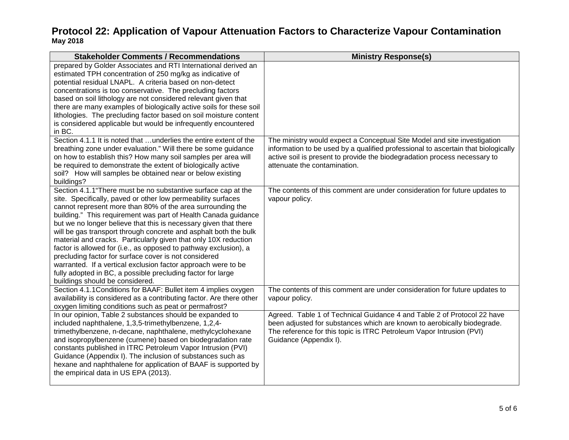| <b>Stakeholder Comments / Recommendations</b>                                                                                                                                                                                                                                                                                                                                                                                                                                                                                                                                                                                                                                                                                                                             | <b>Ministry Response(s)</b>                                                                                                                                                                                                                                                |
|---------------------------------------------------------------------------------------------------------------------------------------------------------------------------------------------------------------------------------------------------------------------------------------------------------------------------------------------------------------------------------------------------------------------------------------------------------------------------------------------------------------------------------------------------------------------------------------------------------------------------------------------------------------------------------------------------------------------------------------------------------------------------|----------------------------------------------------------------------------------------------------------------------------------------------------------------------------------------------------------------------------------------------------------------------------|
| prepared by Golder Associates and RTI International derived an<br>estimated TPH concentration of 250 mg/kg as indicative of<br>potential residual LNAPL. A criteria based on non-detect<br>concentrations is too conservative. The precluding factors<br>based on soil lithology are not considered relevant given that<br>there are many examples of biologically active soils for these soil<br>lithologies. The precluding factor based on soil moisture content<br>is considered applicable but would be infrequently encountered<br>in BC.                                                                                                                                                                                                                           |                                                                                                                                                                                                                                                                            |
| Section 4.1.1 It is noted that  underlies the entire extent of the<br>breathing zone under evaluation." Will there be some guidance<br>on how to establish this? How many soil samples per area will<br>be required to demonstrate the extent of biologically active<br>soil? How will samples be obtained near or below existing<br>buildings?                                                                                                                                                                                                                                                                                                                                                                                                                           | The ministry would expect a Conceptual Site Model and site investigation<br>information to be used by a qualified professional to ascertain that biologically<br>active soil is present to provide the biodegradation process necessary to<br>attenuate the contamination. |
| Section 4.1.1 "There must be no substantive surface cap at the<br>site. Specifically, paved or other low permeability surfaces<br>cannot represent more than 80% of the area surrounding the<br>building." This requirement was part of Health Canada guidance<br>but we no longer believe that this is necessary given that there<br>will be gas transport through concrete and asphalt both the bulk<br>material and cracks. Particularly given that only 10X reduction<br>factor is allowed for (i.e., as opposed to pathway exclusion), a<br>precluding factor for surface cover is not considered<br>warranted. If a vertical exclusion factor approach were to be<br>fully adopted in BC, a possible precluding factor for large<br>buildings should be considered. | The contents of this comment are under consideration for future updates to<br>vapour policy.                                                                                                                                                                               |
| Section 4.1.1 Conditions for BAAF: Bullet item 4 implies oxygen<br>availability is considered as a contributing factor. Are there other<br>oxygen limiting conditions such as peat or permafrost?                                                                                                                                                                                                                                                                                                                                                                                                                                                                                                                                                                         | The contents of this comment are under consideration for future updates to<br>vapour policy.                                                                                                                                                                               |
| In our opinion, Table 2 substances should be expanded to<br>included naphthalene, 1,3,5-trimethylbenzene, 1,2,4-<br>trimethylbenzene, n-decane, naphthalene, methylcyclohexane<br>and isopropylbenzene (cumene) based on biodegradation rate<br>constants published in ITRC Petroleum Vapor Intrusion (PVI)<br>Guidance (Appendix I). The inclusion of substances such as<br>hexane and naphthalene for application of BAAF is supported by<br>the empirical data in US EPA (2013).                                                                                                                                                                                                                                                                                       | Agreed. Table 1 of Technical Guidance 4 and Table 2 of Protocol 22 have<br>been adjusted for substances which are known to aerobically biodegrade.<br>The reference for this topic is ITRC Petroleum Vapor Intrusion (PVI)<br>Guidance (Appendix I).                       |